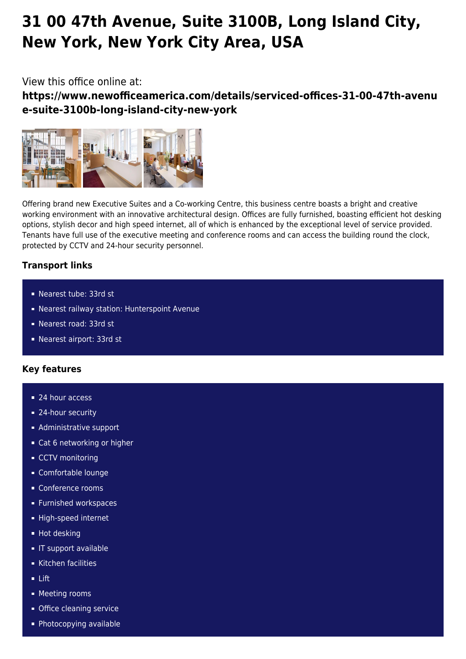# **31 00 47th Avenue, Suite 3100B, Long Island City, New York, New York City Area, USA**

# View this office online at:

**https://www.newofficeamerica.com/details/serviced-offices-31-00-47th-avenu e-suite-3100b-long-island-city-new-york**



Offering brand new Executive Suites and a Co-working Centre, this business centre boasts a bright and creative working environment with an innovative architectural design. Offices are fully furnished, boasting efficient hot desking options, stylish decor and high speed internet, all of which is enhanced by the exceptional level of service provided. Tenants have full use of the executive meeting and conference rooms and can access the building round the clock, protected by CCTV and 24-hour security personnel.

# **Transport links**

- Nearest tube: 33rd st
- Nearest railway station: Hunterspoint Avenue
- Nearest road: 33rd st
- Nearest airport: 33rd st

## **Key features**

- 24 hour access
- 24-hour security
- **Administrative support**
- Cat 6 networking or higher
- CCTV monitoring
- Comfortable lounge
- Conference rooms
- **Furnished workspaces**
- High-speed internet
- **Hot desking**
- **IF support available**
- Kitchen facilities
- Lift
- **Meeting rooms**
- **Office cleaning service**
- Photocopying available